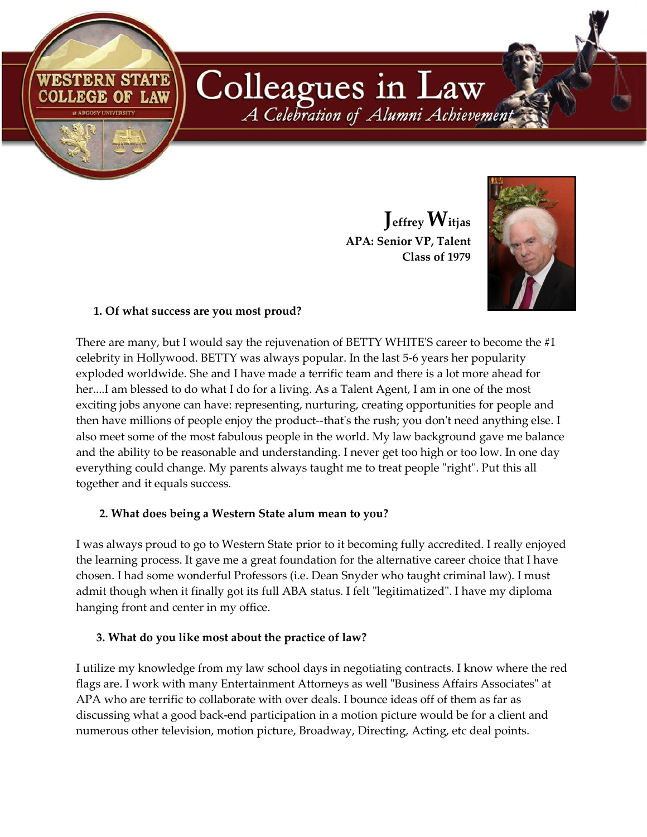Colleagues in Law A Celebration of Alumni Achievement

> **Jeffrey Witjas APA: Senior VP, Talent Class of 1979**



## **1. Of what success are you most proud?**

**COLLEGE OF LAW** 

**II ARGOSY UNIVERSIT** 

There are many, but I would say the rejuvenation of BETTY WHITE'S career to become the #1 celebrity in Hollywood. BETTY was always popular. In the last 5-6 years her popularity exploded worldwide. She and I have made a terrific team and there is a lot more ahead for her....I am blessed to do what I do for a living. As a Talent Agent, I am in one of the most exciting jobs anyone can have: representing, nurturing, creating opportunities for people and then have millions of people enjoy the product--that's the rush; you don't need anything else. I also meet some of the most fabulous people in the world. My law background gave me balance and the ability to be reasonable and understanding. I never get too high or too low. In one day everything could change. My parents always taught me to treat people "right". Put this all together and it equals success.

## **2. What does being a Western State alum mean to you?**

I was always proud to go to Western State prior to it becoming fully accredited. I really enjoyed the learning process. It gave me a great foundation for the alternative career choice that I have chosen. I had some wonderful Professors (i.e. Dean Snyder who taught criminal law). I must admit though when it finally got its full ABA status. I felt "legitimatized". I have my diploma hanging front and center in my office.

## **3. What do you like most about the practice of law?**

I utilize my knowledge from my law school days in negotiating contracts. I know where the red flags are. I work with many Entertainment Attorneys as well "Business Affairs Associates" at APA who are terrific to collaborate with over deals. I bounce ideas off of them as far as discussing what a good back-end participation in a motion picture would be for a client and numerous other television, motion picture, Broadway, Directing, Acting, etc deal points.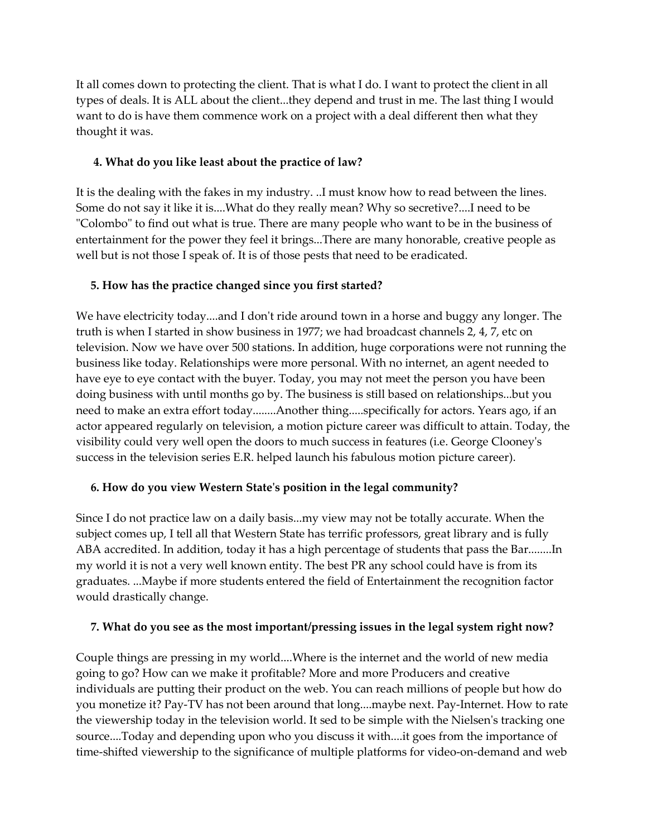It all comes down to protecting the client. That is what I do. I want to protect the client in all types of deals. It is ALL about the client...they depend and trust in me. The last thing I would want to do is have them commence work on a project with a deal different then what they thought it was.

## **4. What do you like least about the practice of law?**

It is the dealing with the fakes in my industry. ..I must know how to read between the lines. Some do not say it like it is....What do they really mean? Why so secretive?....I need to be "Colombo" to find out what is true. There are many people who want to be in the business of entertainment for the power they feel it brings...There are many honorable, creative people as well but is not those I speak of. It is of those pests that need to be eradicated.

# **5. How has the practice changed since you first started?**

We have electricity today....and I don't ride around town in a horse and buggy any longer. The truth is when I started in show business in 1977; we had broadcast channels 2, 4, 7, etc on television. Now we have over 500 stations. In addition, huge corporations were not running the business like today. Relationships were more personal. With no internet, an agent needed to have eye to eye contact with the buyer. Today, you may not meet the person you have been doing business with until months go by. The business is still based on relationships...but you need to make an extra effort today........Another thing.....specifically for actors. Years ago, if an actor appeared regularly on television, a motion picture career was difficult to attain. Today, the visibility could very well open the doors to much success in features (i.e. George Clooney's success in the television series E.R. helped launch his fabulous motion picture career).

## **6. How do you view Western State's position in the legal community?**

Since I do not practice law on a daily basis...my view may not be totally accurate. When the subject comes up, I tell all that Western State has terrific professors, great library and is fully ABA accredited. In addition, today it has a high percentage of students that pass the Bar........In my world it is not a very well known entity. The best PR any school could have is from its graduates. ...Maybe if more students entered the field of Entertainment the recognition factor would drastically change.

## **7. What do you see as the most important/pressing issues in the legal system right now?**

Couple things are pressing in my world....Where is the internet and the world of new media going to go? How can we make it profitable? More and more Producers and creative individuals are putting their product on the web. You can reach millions of people but how do you monetize it? Pay-TV has not been around that long....maybe next. Pay-Internet. How to rate the viewership today in the television world. It sed to be simple with the Nielsen's tracking one source....Today and depending upon who you discuss it with....it goes from the importance of time-shifted viewership to the significance of multiple platforms for video-on-demand and web